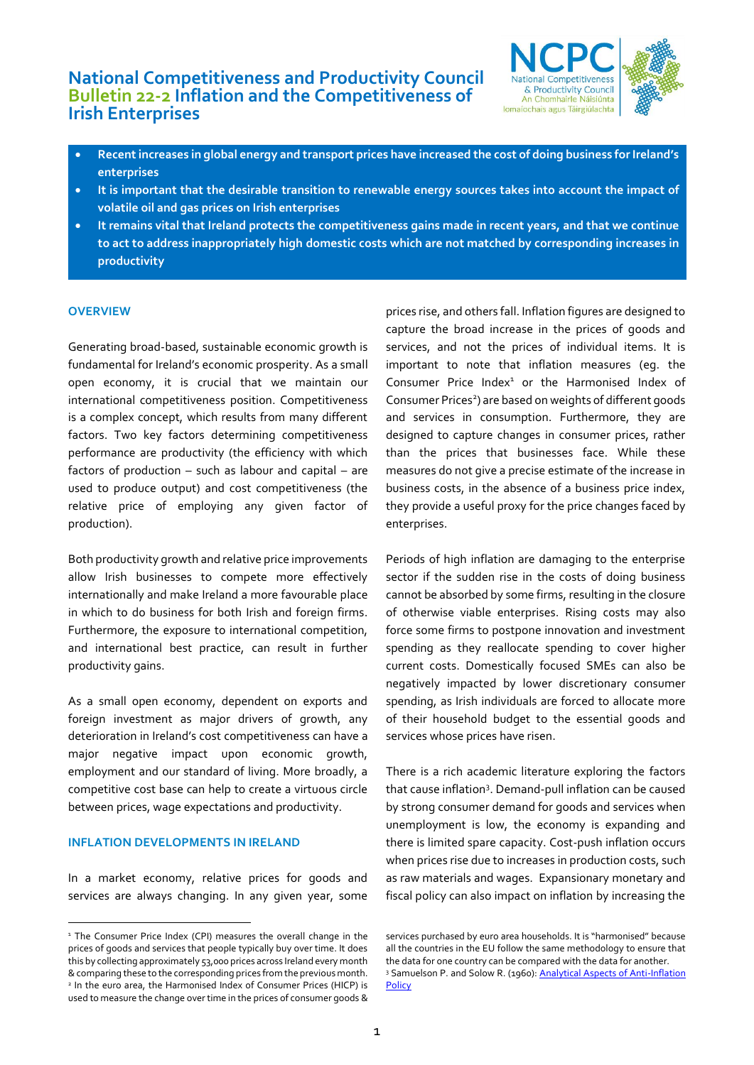# **National Competitiveness and Productivity Council Bulletin 22-2 Inflation and the Competitiveness of Irish Enterprises**



- **Recent increases in global energy and transport prices have increased the cost of doing business for Ireland's enterprises**
- **It is important that the desirable transition to renewable energy sources takes into account the impact of volatile oil and gas prices on Irish enterprises**
- **It remains vital that Ireland protects the competitiveness gains made in recent years, and that we continue to act to address inappropriately high domestic costs which are not matched by corresponding increases in productivity**

# **OVERVIEW**

Generating broad-based, sustainable economic growth is fundamental for Ireland's economic prosperity. As a small open economy, it is crucial that we maintain our international competitiveness position. Competitiveness is a complex concept, which results from many different factors. Two key factors determining competitiveness performance are productivity (the efficiency with which factors of production – such as labour and capital – are used to produce output) and cost competitiveness (the relative price of employing any given factor of production).

Both productivity growth and relative price improvements allow Irish businesses to compete more effectively internationally and make Ireland a more favourable place in which to do business for both Irish and foreign firms. Furthermore, the exposure to international competition, and international best practice, can result in further productivity gains.

As a small open economy, dependent on exports and foreign investment as major drivers of growth, any deterioration in Ireland's cost competitiveness can have a major negative impact upon economic growth, employment and our standard of living. More broadly, a competitive cost base can help to create a virtuous circle between prices, wage expectations and productivity.

# **INFLATION DEVELOPMENTS IN IRELAND**

In a market economy, relative prices for goods and services are always changing. In any given year, some

prices rise, and others fall. Inflation figures are designed to capture the broad increase in the prices of goods and services, and not the prices of individual items. It is important to note that inflation measures (eg. the Consumer Price Index $1$  or the Harmonised Index of Consumer Prices<sup>2</sup>) are based on weights of different goods and services in consumption. Furthermore, they are designed to capture changes in consumer prices, rather than the prices that businesses face. While these measures do not give a precise estimate of the increase in business costs, in the absence of a business price index, they provide a useful proxy for the price changes faced by enterprises.

Periods of high inflation are damaging to the enterprise sector if the sudden rise in the costs of doing business cannot be absorbed by some firms, resulting in the closure of otherwise viable enterprises. Rising costs may also force some firms to postpone innovation and investment spending as they reallocate spending to cover higher current costs. Domestically focused SMEs can also be negatively impacted by lower discretionary consumer spending, as Irish individuals are forced to allocate more of their household budget to the essential goods and services whose prices have risen.

There is a rich academic literature exploring the factors that cause inflation<sup>3</sup>. Demand-pull inflation can be caused by strong consumer demand for goods and services when unemployment is low, the economy is expanding and there is limited spare capacity. Cost-push inflation occurs when prices rise due to increases in production costs, such as raw materials and wages. Expansionary monetary and fiscal policy can also impact on inflation by increasing the

<sup>&</sup>lt;sup>1</sup> The Consumer Price Index (CPI) measures the overall change in the prices of goods and services that people typically buy over time. It does this by collecting approximately 53,000 prices across Ireland every month &comparing these to the corresponding prices from the previous month. 2 In the euro area, the Harmonised Index of Consumer Prices (HICP) is used to measure the change over time in the prices of consumer goods &

services purchased by euro area households. It is "harmonised" because all the countries in the EU follow the same methodology to ensure that the data for one country can be compared with the data for another. <sup>3</sup> Samuelson P. and Solow R. (1960): **Analytical Aspects of Anti-Inflation [Policy](https://www.jstor.org/stable/1815021?searchText=%22Analytical%20Aspects%20of%20Anti-Inflation%20Policy%22&searchUri=%2Faction%2FdoBasicSearch%3FQuery%3DAnalytical%2BAspects%2Bof%2BAnti-Inflation%2BPolicy%2522%26so%3Drel&ab_segments=0%2Fbasic_phrase_search%2Fcontrol&refreqid=fastly-default%3A113e98591243a731a3a47b9c97436699)**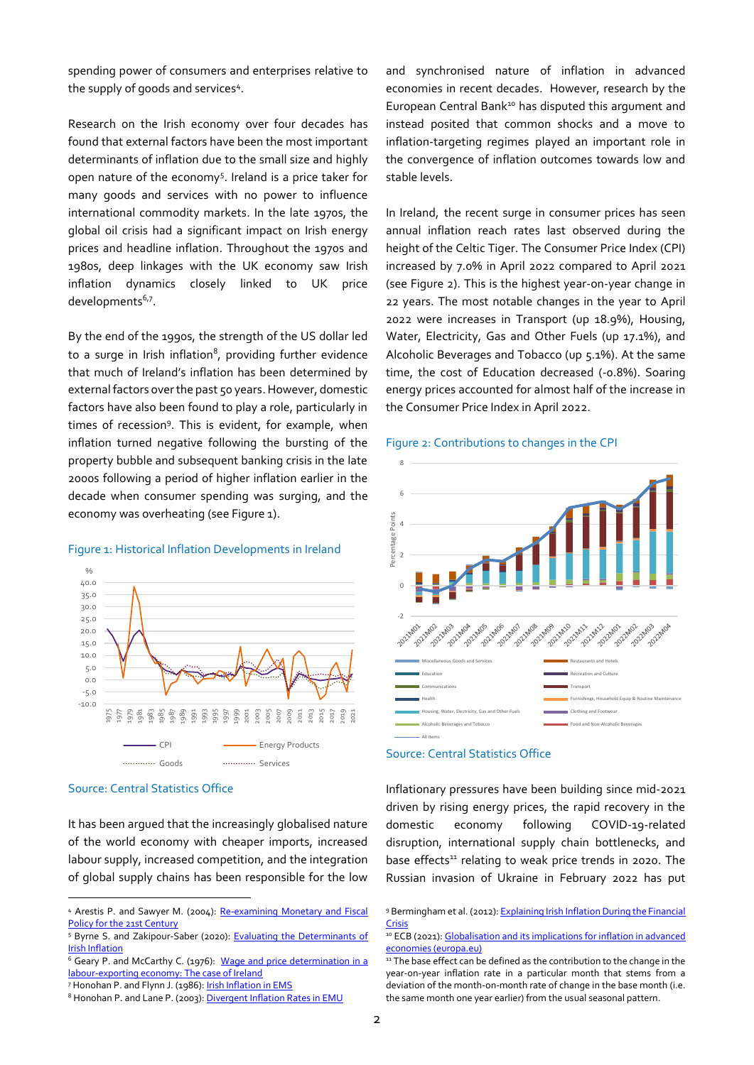spending power of consumers and enterprises relative to the supply of goods and services<sup>4</sup> .

Research on the Irish economy over four decades has found that external factors have been the most important determinants of inflation due to the small size and highly open nature of the economy<sup>5</sup>. Ireland is a price taker for many goods and services with no power to influence international commodity markets. In the late 1970s, the global oil crisis had a significant impact on Irish energy prices and headline inflation. Throughout the 1970s and 1980s, deep linkages with the UK economy saw Irish inflation dynamics closely linked to UK price developments<sup>6,7</sup>.

By the end of the 1990s, the strength of the US dollar led to a surge in Irish inflation $^{\rm 8}$ , providing further evidence that much of Ireland's inflation has been determined by external factors over the past 50 years. However, domestic factors have also been found to play a role, particularly in times of recession<sup>9</sup>. This is evident, for example, when inflation turned negative following the bursting of the property bubble and subsequent banking crisis in the late 2000s following a period of higher inflation earlier in the decade when consumer spending was surging, and the economy was overheating (see Figure 1).



#### Figure 1: Historical Inflation Developments in Ireland

#### Source: Central Statistics Office

It has been argued that the increasingly globalised nature of the world economy with cheaper imports, increased labour supply, increased competition, and the integration of global supply chains has been responsible for the low

and synchronised nature of inflation in advanced economies in recent decades. However, research by the European Central Bank<sup>10</sup> has disputed this argument and instead posited that common shocks and a move to inflation-targeting regimes played an important role in the convergence of inflation outcomes towards low and stable levels.

In Ireland, the recent surge in consumer prices has seen annual inflation reach rates last observed during the height of the Celtic Tiger. The Consumer Price Index (CPI) increased by 7.0% in April 2022 compared to April 2021 (see Figure 2). This is the highest year-on-year change in 22 years. The most notable changes in the year to April 2022 were increases in Transport (up 18.9%), Housing, Water, Electricity, Gas and Other Fuels (up 17.1%), and Alcoholic Beverages and Tobacco (up 5.1%). At the same time, the cost of Education decreased (-0.8%). Soaring energy prices accounted for almost half of the increase in the Consumer Price Index in April 2022.

#### Figure 2: Contributions to changes in the CPI



### Source: Central Statistics Office

Inflationary pressures have been building since mid-2021 driven by rising energy prices, the rapid recovery in the domestic economy following COVID-19-related disruption, international supply chain bottlenecks, and base effects<sup>11</sup> relating to weak price trends in 2020. The Russian invasion of Ukraine in February 2022 has put

<sup>4</sup> Arestis P. and Sawyer M. (2004): Re-examining Monetary and Fiscal [Policy for the 21st Century](https://ideas.repec.org/b/elg/eebook/3240.html) 

<sup>&</sup>lt;sup>5</sup> Byrne S. and Zakipour-Saber (2020): Evaluating the Determinants of [Irish Inflation](https://www.centralbank.ie/docs/default-source/publications/economic-letters/vol-2020-no-1-evaluating-the-determinants-of-irish-inflation-(byrne-and-zakipour-saber).pdf)

<sup>&</sup>lt;sup>6</sup> Geary P. and McCarthy C. (1976): Wage and price determination in a [labour-exporting economy: The case of Ireland](https://www.sciencedirect.com/science/article/abs/pii/0014292176900313) 

<sup>7</sup> Honohan P. and Flynn J. (1986)[: Irish Inflation in EMS](http://www.tara.tcd.ie/bitstream/handle/2262/68780/v17n31986_2.pdf?sequence=1)

<sup>8</sup> Honohan P. and Lane P. (2003): Divergent Inflation Rates in EMU

<sup>9</sup> Bermingham et al. (2012): Explaining Irish Inflation During the Financial [Crisis](https://www.centralbank.ie/docs/default-source/publications/research-technical-papers/research-technical-paper-09rt12.pdf?sfvrsn=8)

<sup>&</sup>lt;sup>10</sup> ECB (2021): Globalisation and its implications for inflation in advanced [economies \(europa.eu\)](https://www.ecb.europa.eu/pub/economic-bulletin/articles/2021/html/ecb.ebart202104_01~ae13f7fe4c.en.html)

<sup>&</sup>lt;sup>11</sup> The base effect can be defined as the contribution to the change in the year-on-year inflation rate in a particular month that stems from a deviation of the month-on-month rate of change in the base month (i.e. the same month one year earlier) from the usual seasonal pattern.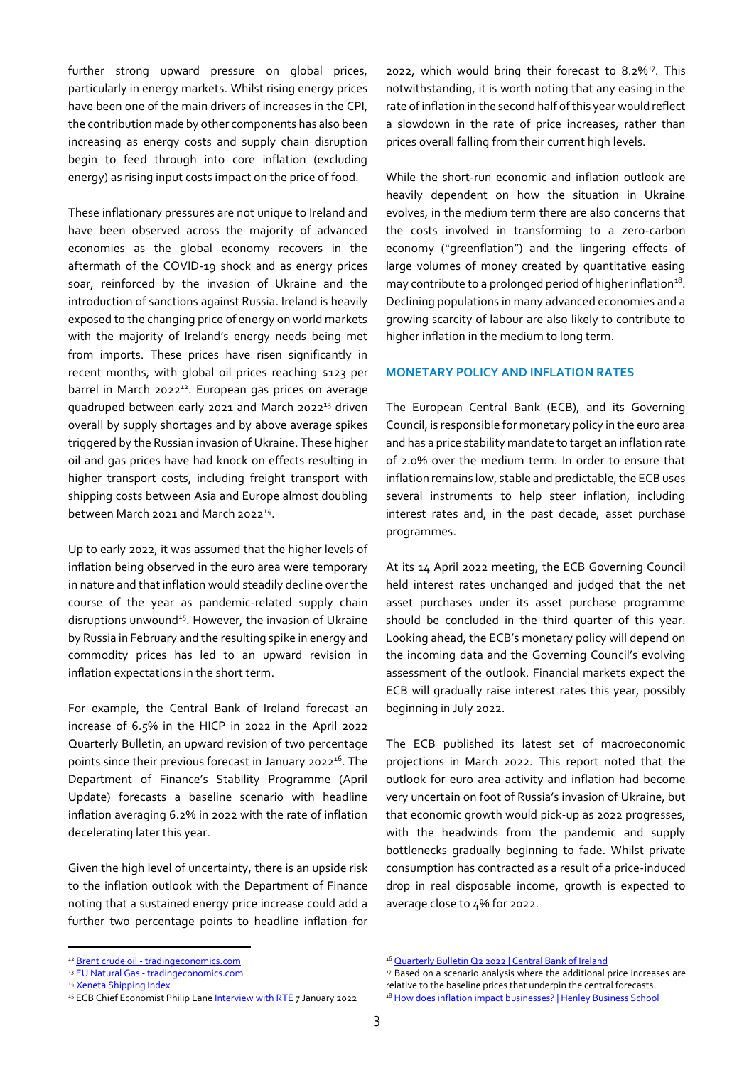further strong upward pressure on global prices, particularly in energy markets. Whilst rising energy prices have been one of the main drivers of increases in the CPI, the contribution made by other components has also been increasing as energy costs and supply chain disruption begin to feed through into core inflation (excluding energy) as rising input costs impact on the price of food.

These inflationary pressures are not unique to Ireland and have been observed across the majority of advanced economies as the global economy recovers in the aftermath of the COVID-19 shock and as energy prices soar, reinforced by the invasion of Ukraine and the introduction of sanctions against Russia. Ireland is heavily exposed to the changing price of energy on world markets with the majority of Ireland's energy needs being met from imports. These prices have risen significantly in recent months, with global oil prices reaching \$123 per barrel in March 2022<sup>12</sup>. European gas prices on average quadruped between early 2021 and March 2022<sup>13</sup> driven overall by supply shortages and by above average spikes triggered by the Russian invasion of Ukraine. These higher oil and gas prices have had knock on effects resulting in higher transport costs, including freight transport with shipping costs between Asia and Europe almost doubling between March 2021 and March 2022<sup>14</sup>.

Up to early 2022, it was assumed that the higher levels of inflation being observed in the euro area were temporary in nature and that inflation would steadily decline over the course of the year as pandemic-related supply chain disruptions unwound<sup>15</sup>. However, the invasion of Ukraine by Russia in February and the resulting spike in energy and commodity prices has led to an upward revision in inflation expectations in the short term.

For example, the Central Bank of Ireland forecast an increase of 6.5% in the HICP in 2022 in the April 2022 Quarterly Bulletin, an upward revision of two percentage points since their previous forecast in January 2022<sup>16</sup>. The Department of Finance's Stability Programme (April Update) forecasts a baseline scenario with headline inflation averaging 6.2% in 2022 with the rate of inflation decelerating later this year.

Given the high level of uncertainty, there is an upside risk to the inflation outlook with the Department of Finance noting that a sustained energy price increase could add a further two percentage points to headline inflation for

2022, which would bring their forecast to 8.2%<sup>17</sup>. This notwithstanding, it is worth noting that any easing in the rate of inflation in the second half of this year would reflect a slowdown in the rate of price increases, rather than prices overall falling from their current high levels.

While the short-run economic and inflation outlook are heavily dependent on how the situation in Ukraine evolves, in the medium term there are also concerns that the costs involved in transforming to a zero-carbon economy ("[greenflation](https://www.bloomberg.com/opinion/articles/2022-01-10/greenflation-is-a-crucial-step-in-the-energy-transition-central-banks-take-note)") and the lingering effects of large volumes of money created by quantitative easing may contribute to a prolonged period of higher inflation $^{18}$ . Declining populations in many advanced economies and a growing scarcity of labour are also likely to contribute to higher inflation in the medium to long term.

### **MONETARY POLICY AND INFLATION RATES**

The European Central Bank (ECB), and its Governing Council, is responsible for monetary policy in the euro area and has a price stability mandate to target an inflation rate of 2.0% over the medium term. In order to ensure that inflation remains low, stable and predictable, the ECB uses several instruments to help steer inflation, including interest rates and, in the past decade, asset purchase programmes.

At its 14 April 2022 meeting, the ECB Governing Council held interest rates unchanged and judged that the net asset purchases under its asset purchase programme should be concluded in the third quarter of this year. Looking ahead, the ECB's monetary policy will depend on the incoming data and the Governing Council's evolving assessment of the outlook. Financial markets expect the ECB will gradually raise interest rates this year, possibly beginning in July 2022.

The ECB published its latest set of macroeconomic projections in March 2022. This report noted that the outlook for euro area activity and inflation had become very uncertain on foot of Russia's invasion of Ukraine, but that economic growth would pick-up as 2022 progresses, with the headwinds from the pandemic and supply bottlenecks gradually beginning to fade. Whilst private consumption has contracted as a result of a price-induced drop in real disposable income, growth is expected to average close to 4% for 2022.

<sup>12</sup> Brent crude oil - [tradingeconomics.com](https://tradingeconomics.com/commodity/brent-crude-oil)

<sup>13</sup> EU Natural Gas - [tradingeconomics.com](https://tradingeconomics.com/commodity/eu-natural-gas)

<sup>&</sup>lt;sup>14</sup> [Xeneta Shipping Index](https://xsi.xeneta.com/)

<sup>&</sup>lt;sup>15</sup> ECB Chief Economist Philip Lane **Interview with RTÉ** 7 January 2022

<sup>&</sup>lt;sup>16</sup> [Quarterly Bulletin Q2 2022 | Central Bank of Ireland](https://www.centralbank.ie/publication/quarterly-bulletins/quarterly-bulletin-q2-2022)

<sup>&</sup>lt;sup>17</sup> Based on a scenario analysis where the additional price increases are relative to the baseline prices that underpin the central forecasts.

<sup>&</sup>lt;sup>18</sup> [How does inflation impact businesses? | Henley Business School](https://www.henley.ac.uk/news/2022/how-does-inflation-impact-businesses)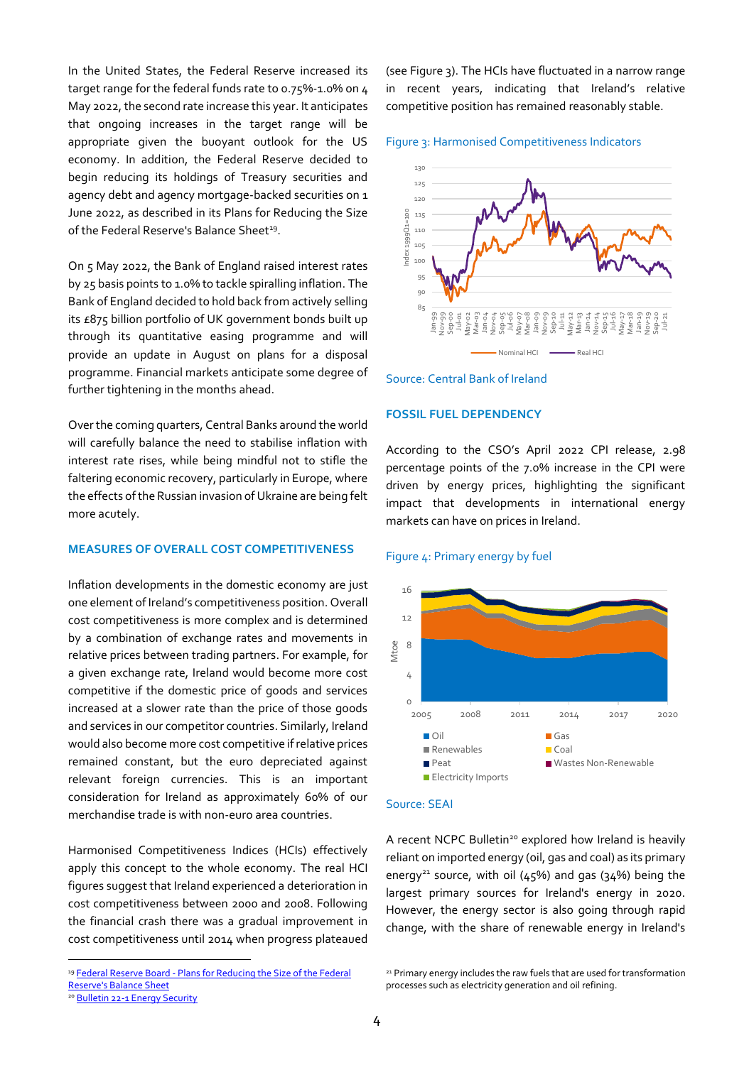In the United States, the Federal Reserve increased its target range for the federal funds rate to 0.75%-1.0% on 4 May 2022, the second rate increase this year. It anticipates that ongoing increases in the target range will be appropriate given the buoyant outlook for the US economy. In addition, the Federal Reserve decided to begin reducing its holdings of Treasury securities and agency debt and agency mortgage-backed securities on 1 June 2022, as described in its Plans for Reducing the Size of the Federal Reserve's Balance Sheet<sup>19</sup>.

On 5 May 2022, the Bank of England raised interest rates by 25 basis points to 1.0% to tackle spiralling inflation. The Bank of England decided to hold back from actively selling its £875 billion portfolio of UK government bonds built up through its quantitative easing programme and will provide an update in August on plans for a disposal programme. Financial markets anticipate some degree of further tightening in the months ahead.

Over the coming quarters, Central Banks around the world will carefully balance the need to stabilise inflation with interest rate rises, while being mindful not to stifle the faltering economic recovery, particularly in Europe, where the effects of the Russian invasion of Ukraine are being felt more acutely.

### **MEASURES OF OVERALL COST COMPETITIVENESS**

Inflation developments in the domestic economy are just one element of Ireland's competitiveness position. Overall cost competitiveness is more complex and is determined by a combination of exchange rates and movements in relative prices between trading partners. For example, for a given exchange rate, Ireland would become more cost competitive if the domestic price of goods and services increased at a slower rate than the price of those goods and services in our competitor countries. Similarly, Ireland would also become more cost competitive if relative prices remained constant, but the euro depreciated against relevant foreign currencies. This is an important consideration for Ireland as approximately 60% of our merchandise trade is with non-euro area countries.

Harmonised Competitiveness Indices (HCIs) effectively apply this concept to the whole economy. The real HCI figures suggest that Ireland experienced a deterioration in cost competitiveness between 2000 and 2008. Following the financial crash there was a gradual improvement in cost competitiveness until 2014 when progress plateaued

<sup>19</sup> Federal Reserve Board - Plans for Reducing the Size of the Federal [Reserve's Balance Sheet](https://www.federalreserve.gov/newsevents/pressreleases/monetary20220504b.htm)

<sup>20</sup> [Bulletin 22-1 Energy Security](http://www.competitiveness.ie/ncc/publications/2022/)

(see Figure 3). The HCIs have fluctuated in a narrow range in recent years, indicating that Ireland's relative competitive position has remained reasonably stable.







# **FOSSIL FUEL DEPENDENCY**

According to the CSO's April 2022 CPI release, 2.98 percentage points of the 7.0% increase in the CPI were driven by energy prices, highlighting the significant impact that developments in international energy markets can have on prices in Ireland.

#### Figure 4: Primary energy by fuel



# Source: SEAI

A recent NCPC Bulletin<sup>20</sup> explored how Ireland is heavily reliant on imported energy (oil, gas and coal) as its primary energy<sup>21</sup> source, with oil (45%) and gas (34%) being the largest primary sources for Ireland's energy in 2020. However, the energy sector is also going through rapid change, with the share of renewable energy in Ireland's

<sup>&</sup>lt;sup>21</sup> Primary energy includes the raw fuels that are used for transformation processes such as electricity generation and oil refining.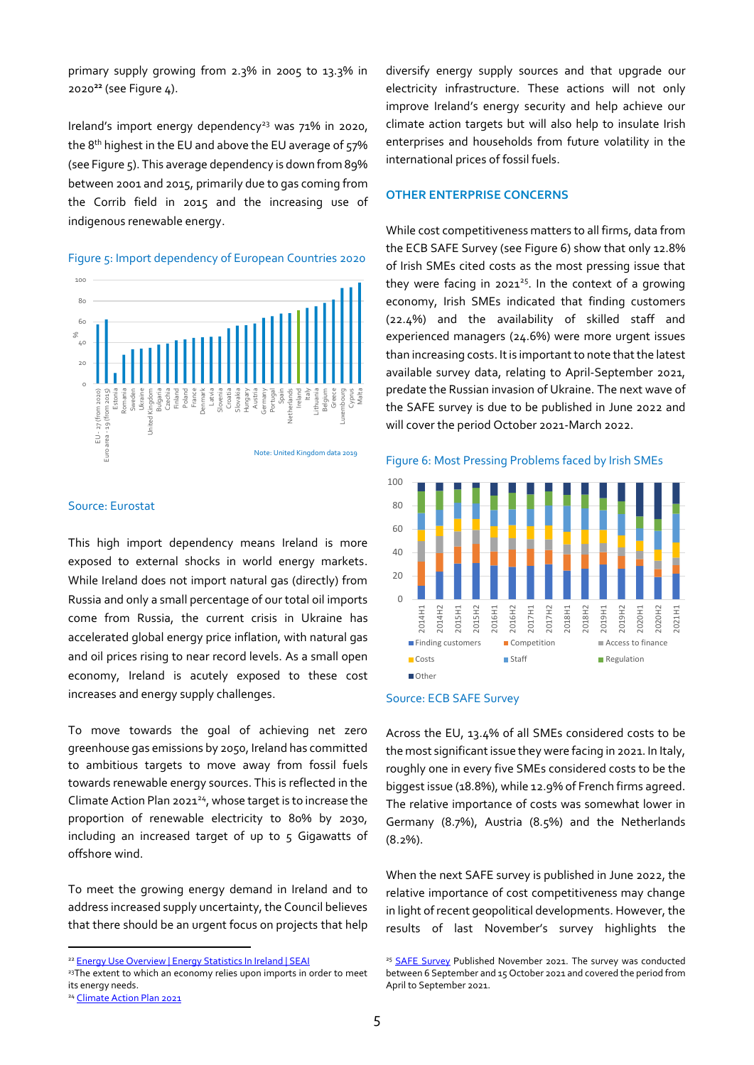primary supply growing from 2.3% in 2005 to 13.3% in 2020**<sup>22</sup>** (see Figure 4).

Ireland's import energy dependency<sup>23</sup> was  $71\%$  in 2020, the 8<sup>th</sup> highest in the EU and above the EU average of 57% (see Figure 5). This average dependency is down from 89% between 2001 and 2015, primarily due to gas coming from the Corrib field in 2015 and the increasing use of indigenous renewable energy.

#### Figure 5: Import dependency of European Countries 2020



# Source: Eurostat

This high import dependency means Ireland is more exposed to external shocks in world energy markets. While Ireland does not import natural gas (directly) from Russia and only a small percentage of our total oil imports come from Russia, the current crisis in Ukraine has accelerated global energy price inflation, with natural gas and oil prices rising to near record levels. As a small open economy, Ireland is acutely exposed to these cost increases and energy supply challenges.

To move towards the goal of achieving net zero greenhouse gas emissions by 2050, Ireland has committed to ambitious targets to move away from fossil fuels towards renewable energy sources. This is reflected in the Climate Action Plan 2021<sup>24</sup>, whose target is to increase the proportion of renewable electricity to 80% by 2030, including an increased target of up to 5 Gigawatts of offshore wind.

To meet the growing energy demand in Ireland and to address increased supply uncertainty, the Council believes that there should be an urgent focus on projects that help

<sup>24</sup> Climate Action Plan 2021

diversify energy supply sources and that upgrade our electricity infrastructure. These actions will not only improve Ireland's energy security and help achieve our climate action targets but will also help to insulate Irish enterprises and households from future volatility in the international prices of fossil fuels.

#### **OTHER ENTERPRISE CONCERNS**

While cost competitiveness matters to all firms, data from the ECB SAFE Survey (see Figure 6) show that only 12.8% of Irish SMEs cited costs as the most pressing issue that they were facing in 2021 <sup>25</sup>. In the context of a growing economy, Irish SMEs indicated that finding customers (22.4%) and the availability of skilled staff and experienced managers (24.6%) were more urgent issues than increasing costs. It is important to note that the latest available survey data, relating to April-September 2021, predate the Russian invasion of Ukraine. The next wave of the SAFE survey is due to be published in June 2022 and will cover the period October 2021-March 2022.







Across the EU, 13.4% of all SMEs considered costs to be the most significant issue they were facing in 2021. In Italy, roughly one in every five SMEs considered costs to be the biggest issue (18.8%), while 12.9% of French firms agreed. The relative importance of costs was somewhat lower in Germany (8.7%), Austria (8.5%) and the Netherlands (8.2%).

When the next SAFE survey is published in June 2022, the relative importance of cost competitiveness may change in light of recent geopolitical developments. However, the results of last November's survey highlights the

<sup>22</sup> [Energy Use Overview | Energy Statistics In Ireland | SEAI](https://www.seai.ie/data-and-insights/seai-statistics/key-statistics/energy-use-overview/)

<sup>&</sup>lt;sup>23</sup>The extent to which an economy relies upon imports in order to meet its energy needs.

<sup>&</sup>lt;sup>25</sup> [SAFE Survey](https://ec.europa.eu/growth/access-finance-smes/data-and-surveys-safe_en) Published November 2021. The survey was conducted between 6 September and 15 October 2021 and covered the period from April to September 2021.